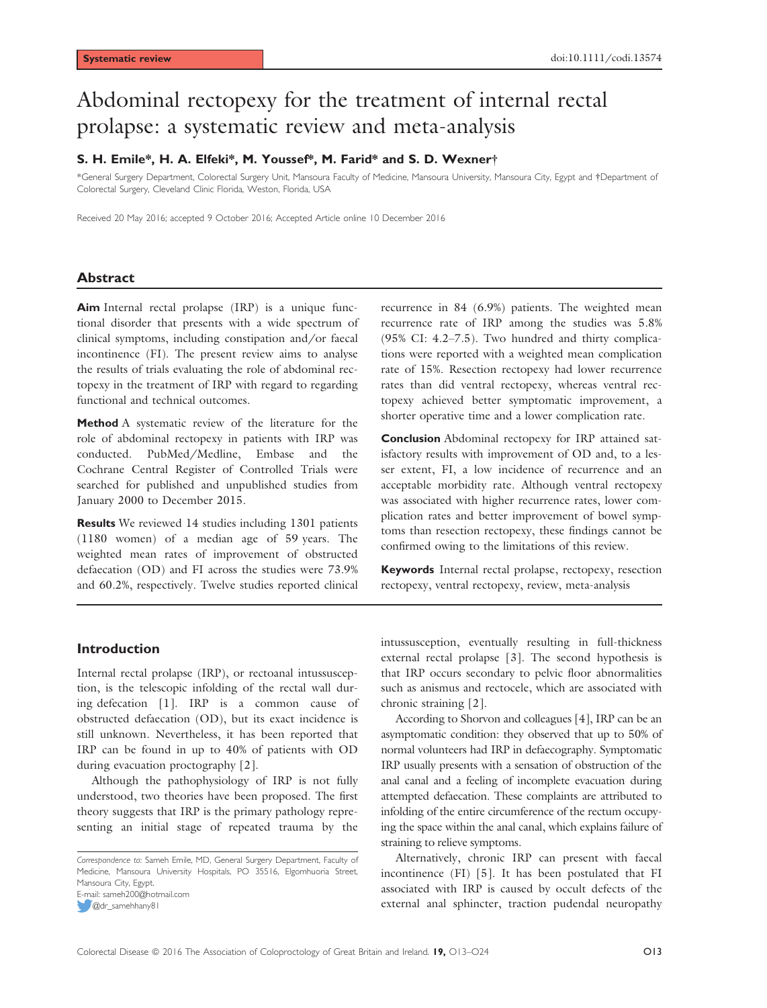# Abdominal rectopexy for the treatment of internal rectal prolapse: a systematic review and meta-analysis

# S. H. Emile\*, H. A. Elfeki\*, M. Youssef\*, M. Farid\* and S. D. Wexner†

\*General Surgery Department, Colorectal Surgery Unit, Mansoura Faculty of Medicine, Mansoura University, Mansoura City, Egypt and †Department of Colorectal Surgery, Cleveland Clinic Florida, Weston, Florida, USA

Received 20 May 2016; accepted 9 October 2016; Accepted Article online 10 December 2016

### Abstract

Aim Internal rectal prolapse (IRP) is a unique functional disorder that presents with a wide spectrum of clinical symptoms, including constipation and/or faecal incontinence (FI). The present review aims to analyse the results of trials evaluating the role of abdominal rectopexy in the treatment of IRP with regard to regarding functional and technical outcomes.

Method A systematic review of the literature for the role of abdominal rectopexy in patients with IRP was conducted. PubMed/Medline, Embase and the Cochrane Central Register of Controlled Trials were searched for published and unpublished studies from January 2000 to December 2015.

Results We reviewed 14 studies including 1301 patients (1180 women) of a median age of 59 years. The weighted mean rates of improvement of obstructed defaecation (OD) and FI across the studies were 73.9% and 60.2%, respectively. Twelve studies reported clinical recurrence in 84 (6.9%) patients. The weighted mean recurrence rate of IRP among the studies was 5.8% (95% CI: 4.2–7.5). Two hundred and thirty complications were reported with a weighted mean complication rate of 15%. Resection rectopexy had lower recurrence rates than did ventral rectopexy, whereas ventral rectopexy achieved better symptomatic improvement, a shorter operative time and a lower complication rate.

Conclusion Abdominal rectopexy for IRP attained satisfactory results with improvement of OD and, to a lesser extent, FI, a low incidence of recurrence and an acceptable morbidity rate. Although ventral rectopexy was associated with higher recurrence rates, lower complication rates and better improvement of bowel symptoms than resection rectopexy, these findings cannot be confirmed owing to the limitations of this review.

Keywords Internal rectal prolapse, rectopexy, resection rectopexy, ventral rectopexy, review, meta-analysis

# Introduction

Internal rectal prolapse (IRP), or rectoanal intussusception, is the telescopic infolding of the rectal wall during defecation [1]. IRP is a common cause of obstructed defaecation (OD), but its exact incidence is still unknown. Nevertheless, it has been reported that IRP can be found in up to 40% of patients with OD during evacuation proctography [2].

Although the pathophysiology of IRP is not fully understood, two theories have been proposed. The first theory suggests that IRP is the primary pathology representing an initial stage of repeated trauma by the

@dr\_samehhany81

intussusception, eventually resulting in full-thickness external rectal prolapse [3]. The second hypothesis is that IRP occurs secondary to pelvic floor abnormalities such as anismus and rectocele, which are associated with chronic straining [2].

According to Shorvon and colleagues [4], IRP can be an asymptomatic condition: they observed that up to 50% of normal volunteers had IRP in defaecography. Symptomatic IRP usually presents with a sensation of obstruction of the anal canal and a feeling of incomplete evacuation during attempted defaecation. These complaints are attributed to infolding of the entire circumference of the rectum occupying the space within the anal canal, which explains failure of straining to relieve symptoms.

Alternatively, chronic IRP can present with faecal incontinence (FI) [5]. It has been postulated that FI associated with IRP is caused by occult defects of the external anal sphincter, traction pudendal neuropathy

Correspondence to: Sameh Emile, MD, General Surgery Department, Faculty of Medicine, Mansoura University Hospitals, PO 35516, Elgomhuoria Street, Mansoura City, Egypt. E-mail: sameh200@hotmail.com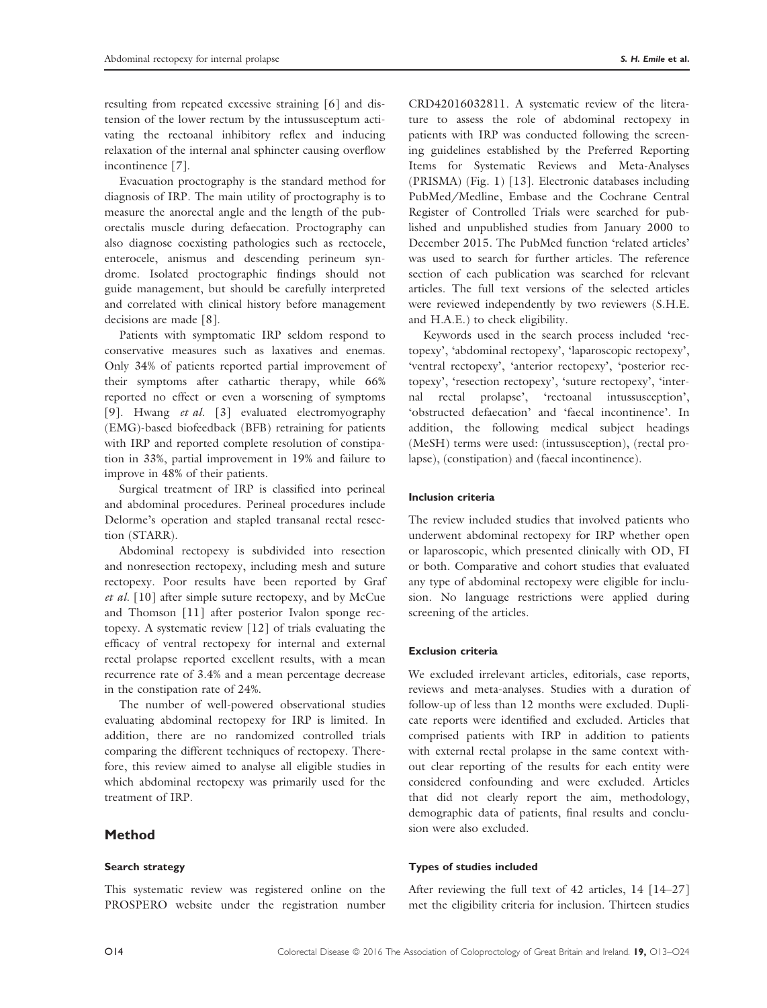resulting from repeated excessive straining [6] and distension of the lower rectum by the intussusceptum activating the rectoanal inhibitory reflex and inducing relaxation of the internal anal sphincter causing overflow incontinence [7].

Evacuation proctography is the standard method for diagnosis of IRP. The main utility of proctography is to measure the anorectal angle and the length of the puborectalis muscle during defaecation. Proctography can also diagnose coexisting pathologies such as rectocele, enterocele, anismus and descending perineum syndrome. Isolated proctographic findings should not guide management, but should be carefully interpreted and correlated with clinical history before management decisions are made [8].

Patients with symptomatic IRP seldom respond to conservative measures such as laxatives and enemas. Only 34% of patients reported partial improvement of their symptoms after cathartic therapy, while 66% reported no effect or even a worsening of symptoms [9]. Hwang et al. [3] evaluated electromyography (EMG)-based biofeedback (BFB) retraining for patients with IRP and reported complete resolution of constipation in 33%, partial improvement in 19% and failure to improve in 48% of their patients.

Surgical treatment of IRP is classified into perineal and abdominal procedures. Perineal procedures include Delorme's operation and stapled transanal rectal resection (STARR).

Abdominal rectopexy is subdivided into resection and nonresection rectopexy, including mesh and suture rectopexy. Poor results have been reported by Graf et al. [10] after simple suture rectopexy, and by McCue and Thomson [11] after posterior Ivalon sponge rectopexy. A systematic review [12] of trials evaluating the efficacy of ventral rectopexy for internal and external rectal prolapse reported excellent results, with a mean recurrence rate of 3.4% and a mean percentage decrease in the constipation rate of 24%.

The number of well-powered observational studies evaluating abdominal rectopexy for IRP is limited. In addition, there are no randomized controlled trials comparing the different techniques of rectopexy. Therefore, this review aimed to analyse all eligible studies in which abdominal rectopexy was primarily used for the treatment of IRP.

# Method

### Search strategy

This systematic review was registered online on the PROSPERO website under the registration number CRD42016032811. A systematic review of the literature to assess the role of abdominal rectopexy in patients with IRP was conducted following the screening guidelines established by the Preferred Reporting Items for Systematic Reviews and Meta-Analyses (PRISMA) (Fig. 1) [13]. Electronic databases including PubMed/Medline, Embase and the Cochrane Central Register of Controlled Trials were searched for published and unpublished studies from January 2000 to December 2015. The PubMed function 'related articles' was used to search for further articles. The reference section of each publication was searched for relevant articles. The full text versions of the selected articles were reviewed independently by two reviewers (S.H.E. and H.A.E.) to check eligibility.

Keywords used in the search process included 'rectopexy', 'abdominal rectopexy', 'laparoscopic rectopexy', 'ventral rectopexy', 'anterior rectopexy', 'posterior rectopexy', 'resection rectopexy', 'suture rectopexy', 'internal rectal prolapse', 'rectoanal intussusception', 'obstructed defaecation' and 'faecal incontinence'. In addition, the following medical subject headings (MeSH) terms were used: (intussusception), (rectal prolapse), (constipation) and (faecal incontinence).

### Inclusion criteria

The review included studies that involved patients who underwent abdominal rectopexy for IRP whether open or laparoscopic, which presented clinically with OD, FI or both. Comparative and cohort studies that evaluated any type of abdominal rectopexy were eligible for inclusion. No language restrictions were applied during screening of the articles.

### Exclusion criteria

We excluded irrelevant articles, editorials, case reports, reviews and meta-analyses. Studies with a duration of follow-up of less than 12 months were excluded. Duplicate reports were identified and excluded. Articles that comprised patients with IRP in addition to patients with external rectal prolapse in the same context without clear reporting of the results for each entity were considered confounding and were excluded. Articles that did not clearly report the aim, methodology, demographic data of patients, final results and conclusion were also excluded.

#### Types of studies included

After reviewing the full text of 42 articles, 14 [14–27] met the eligibility criteria for inclusion. Thirteen studies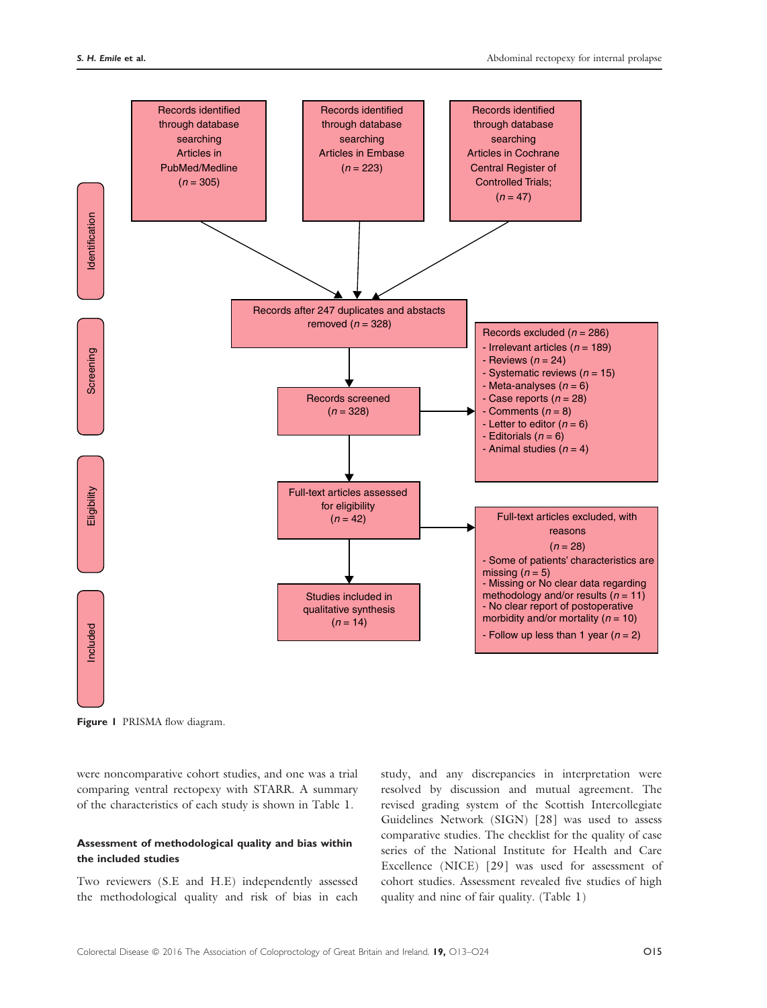

Figure 1 PRISMA flow diagram.

were noncomparative cohort studies, and one was a trial comparing ventral rectopexy with STARR. A summary of the characteristics of each study is shown in Table 1.

### Assessment of methodological quality and bias within the included studies

Two reviewers (S.E and H.E) independently assessed the methodological quality and risk of bias in each study, and any discrepancies in interpretation were resolved by discussion and mutual agreement. The revised grading system of the Scottish Intercollegiate Guidelines Network (SIGN) [28] was used to assess comparative studies. The checklist for the quality of case series of the National Institute for Health and Care Excellence (NICE) [29] was used for assessment of cohort studies. Assessment revealed five studies of high quality and nine of fair quality. (Table 1)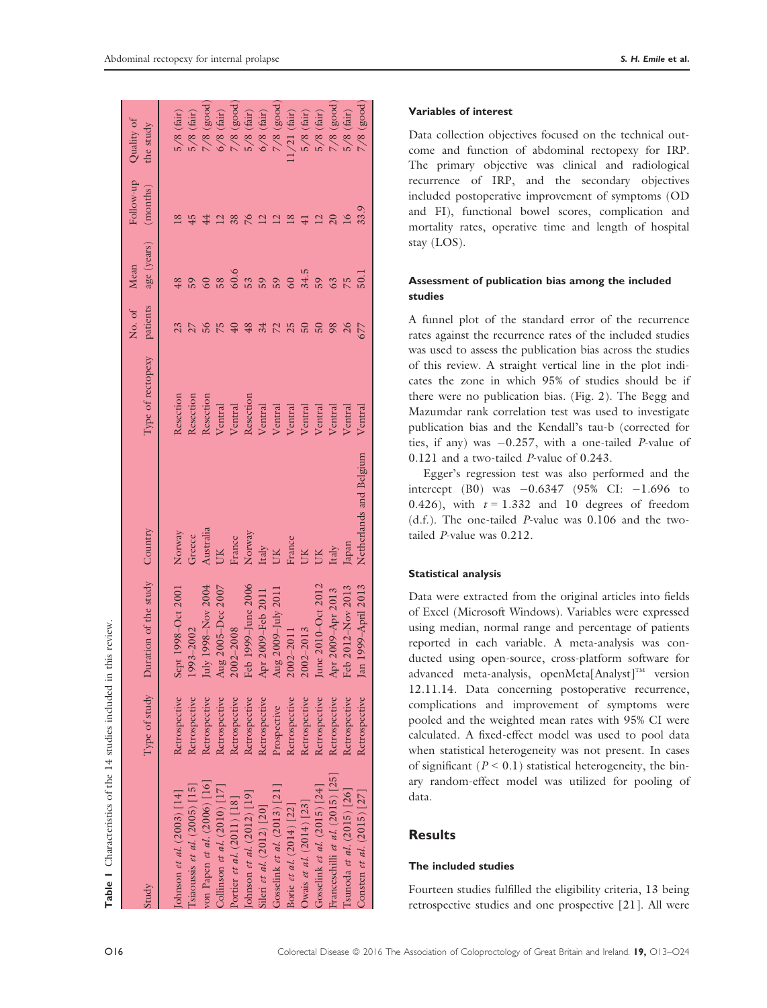| Study                              | Type of study | Duration of the study Country |                         | Type of rectopexy | No. of<br>patients | age (years) (months)<br>Mean | Follow-up       | Quality of<br>the study |
|------------------------------------|---------------|-------------------------------|-------------------------|-------------------|--------------------|------------------------------|-----------------|-------------------------|
| ohnson et al. $(2003)$ [14]        | Retrospective | Sept 1998-Oct 2001            | Norway                  | Resection         |                    |                              | $\frac{8}{2}$   | $5/8$ (fair)            |
| siaoussis et al. $(2005)$ [15]     | Retrospective | 1993-2002                     | Greece                  | Resection         |                    |                              | 45              | $5/8$ (fair)            |
| von Papen et al. (2006) [16]       | Retrospective | July 1998–Nov 2004            | Australia               | Resection         |                    |                              |                 | $7/8$ (good             |
| Collinson et al. $(2010)$ [17]     | Retrospective | Aug 2005-Dec 2007             |                         | Ventral           |                    | 58                           |                 | $6/8$ (fair)            |
| Portier et al. $(2011)$ [18]       | Retrospective | 2002-2008                     | France                  | Ventral           |                    | 60.6                         |                 | $7/8$ (good)            |
| Johnson et al. $(2012)$ [19]       | Retrospective | Feb 1999–June 2006            | Norway                  | Resection         | 48                 | 53                           |                 | $5/8$ (fair)            |
| Sileri et al. (2012) [20]          | Retrospective | Apr 2009-Feb 2011             | Italy                   | Ventral           |                    | 59                           |                 | $6/8$ (fair)            |
| Gosselink et al. $(2013)$ [21]     | Prospective   | Aug 2009–July 2011            | <b>XID</b>              | Ventral           | $\overline{2}$     | 59                           |                 | $7/8$ (good             |
| Borie et al. (2014) [22]           | Retrospective | $2002 - 2011$                 | France                  | Ventral           | 25                 |                              | ∞ฺ              | $1/21$ (fair)           |
| Owais et al. $(2014)$ [23]         | Retrospective | 2002-2013                     | <b>CK</b>               | Ventral           |                    | 34.5                         |                 | $5/8$ (fair)            |
| Gosselink et al. $(2015)$ [24]     | Retrospective | June 2010–Oct 2012            |                         | Ventral           |                    | 59                           |                 | $5/8$ (fair)            |
| Franceschilli et al. $(2015)$ [25] | Retrospective | Apr 2009-Apr 2013             | Italy                   | Ventral           | 98                 | 63                           |                 | $7/8$ (good)            |
| Isunoda et al. $(2015)$ [26]       | Retrospective | Feb 2012-Nov 2013             | Japan                   | Ventral           |                    |                              | $\overline{16}$ | $5/8$ (fair)            |
| Consten et al. (2015) [27]         | Retrospective | Jan 1999-April 2013           | Netherlands and Belgium | Ventral           |                    | $\overline{50}$ .            | 33.9            | $7/8$ (good)            |
|                                    |               |                               |                         |                   |                    |                              |                 |                         |

### Variables of interest

Data collection objectives focused on the technical outcome and function of abdominal rectopexy for IRP. The primary objective was clinical and radiological recurrence of IRP, and the secondary objectives included postoperative improvement of symptoms (OD and FI), functional bowel scores, complication and mortality rates, operative time and length of hospital stay (LOS).

### Assessment of publication bias among the included studies

A funnel plot of the standard error of the recurrence rates against the recurrence rates of the included studies was used to assess the publication bias across the studies of this review. A straight vertical line in the plot indicates the zone in which 95% of studies should be if there were no publication bias. (Fig. 2). The Begg and Mazumdar rank correlation test was used to investigate publication bias and the Kendall's tau-b (corrected for ties, if any) was  $-0.257$ , with a one-tailed P-value of 0.121 and a two-tailed P-value of 0.243.

Egger's regression test was also performed and the intercept (B0) was  $-0.6347$  (95% CI:  $-1.696$  to 0.426), with  $t = 1.332$  and 10 degrees of freedom (d.f.). The one-tailed P-value was 0.106 and the twotailed P-value was 0.212.

### Statistical analysis

Data were extracted from the original articles into fields of Excel (Microsoft Windows). Variables were expressed using median, normal range and percentage of patients reported in each variable. A meta-analysis was conducted using open-source, cross-platform software for advanced meta-analysis, openMeta[Analyst]<sup>TM</sup> version 12.11.14. Data concerning postoperative recurrence, complications and improvement of symptoms were pooled and the weighted mean rates with 95% CI were calculated. A fixed-effect model was used to pool data when statistical heterogeneity was not present. In cases of significant ( $P < 0.1$ ) statistical heterogeneity, the binary random-effect model was utilized for pooling of data.

# Results

# The included studies

Fourteen studies fulfilled the eligibility criteria, 13 being retrospective studies and one prospective [21]. All were

**Table 1** Characteristics of the 14 studies included in this review. Characteristics of the 14 studies included in this review.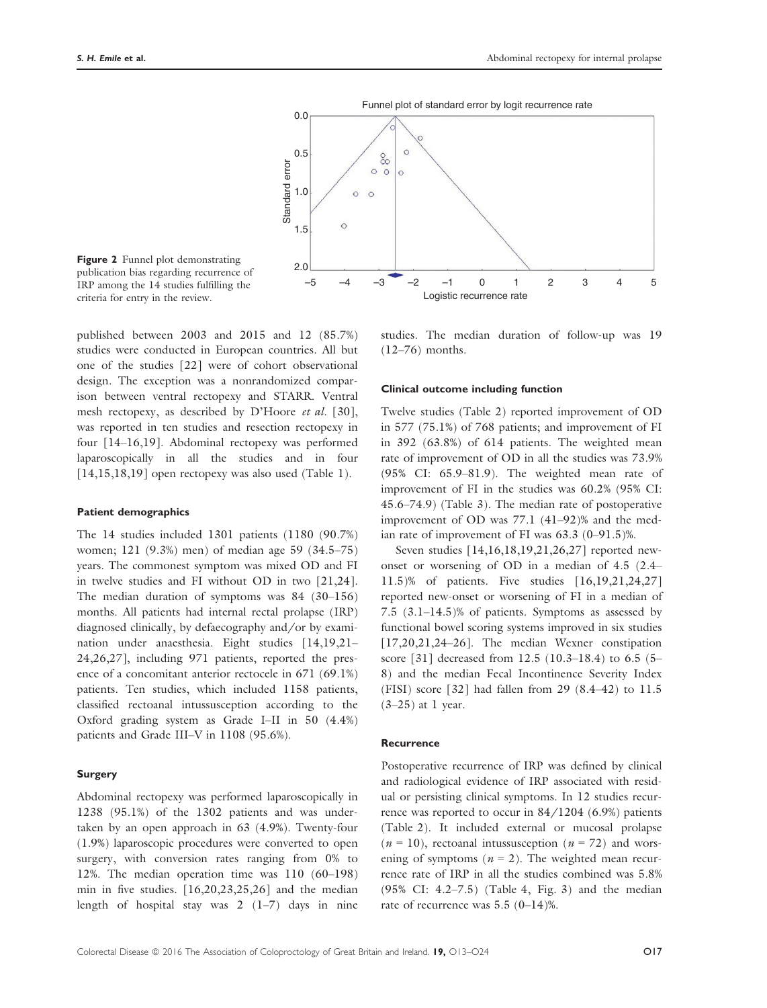

Figure 2 Funnel plot demonstrating publication bias regarding recurrence of IRP among the 14 studies fulfilling the criteria for entry in the review.

published between 2003 and 2015 and 12 (85.7%) studies were conducted in European countries. All but one of the studies [22] were of cohort observational design. The exception was a nonrandomized comparison between ventral rectopexy and STARR. Ventral mesh rectopexy, as described by D'Hoore et al. [30], was reported in ten studies and resection rectopexy in four [14–16,19]. Abdominal rectopexy was performed laparoscopically in all the studies and in four [14,15,18,19] open rectopexy was also used (Table 1).

### Patient demographics

The 14 studies included 1301 patients (1180 (90.7%) women; 121 (9.3%) men) of median age 59 (34.5–75) years. The commonest symptom was mixed OD and FI in twelve studies and FI without OD in two [21,24]. The median duration of symptoms was 84 (30–156) months. All patients had internal rectal prolapse (IRP) diagnosed clinically, by defaecography and/or by examination under anaesthesia. Eight studies [14,19,21– 24,26,27], including 971 patients, reported the presence of a concomitant anterior rectocele in 671 (69.1%) patients. Ten studies, which included 1158 patients, classified rectoanal intussusception according to the Oxford grading system as Grade I–II in 50 (4.4%) patients and Grade III–V in 1108 (95.6%).

### Surgery

Abdominal rectopexy was performed laparoscopically in 1238 (95.1%) of the 1302 patients and was undertaken by an open approach in 63 (4.9%). Twenty-four (1.9%) laparoscopic procedures were converted to open surgery, with conversion rates ranging from 0% to 12%. The median operation time was 110 (60–198) min in five studies. [16,20,23,25,26] and the median length of hospital stay was 2 (1–7) days in nine

studies. The median duration of follow-up was 19 (12–76) months.

#### Clinical outcome including function

Twelve studies (Table 2) reported improvement of OD in 577 (75.1%) of 768 patients; and improvement of FI in 392 (63.8%) of 614 patients. The weighted mean rate of improvement of OD in all the studies was 73.9% (95% CI: 65.9–81.9). The weighted mean rate of improvement of FI in the studies was 60.2% (95% CI: 45.6–74.9) (Table 3). The median rate of postoperative improvement of OD was 77.1 (41–92)% and the median rate of improvement of FI was 63.3 (0–91.5)%.

Seven studies [14,16,18,19,21,26,27] reported newonset or worsening of OD in a median of 4.5 (2.4– 11.5)% of patients. Five studies [16,19,21,24,27] reported new-onset or worsening of FI in a median of 7.5 (3.1–14.5)% of patients. Symptoms as assessed by functional bowel scoring systems improved in six studies [17,20,21,24-26]. The median Wexner constipation score [31] decreased from 12.5 (10.3–18.4) to 6.5 (5– 8) and the median Fecal Incontinence Severity Index (FISI) score [32] had fallen from 29 (8.4–42) to 11.5  $(3-25)$  at 1 year.

#### **Recurrence**

Postoperative recurrence of IRP was defined by clinical and radiological evidence of IRP associated with residual or persisting clinical symptoms. In 12 studies recurrence was reported to occur in 84/1204 (6.9%) patients (Table 2). It included external or mucosal prolapse  $(n = 10)$ , rectoanal intussusception  $(n = 72)$  and worsening of symptoms ( $n = 2$ ). The weighted mean recurrence rate of IRP in all the studies combined was 5.8% (95% CI: 4.2–7.5) (Table 4, Fig. 3) and the median rate of recurrence was 5.5 (0–14)%.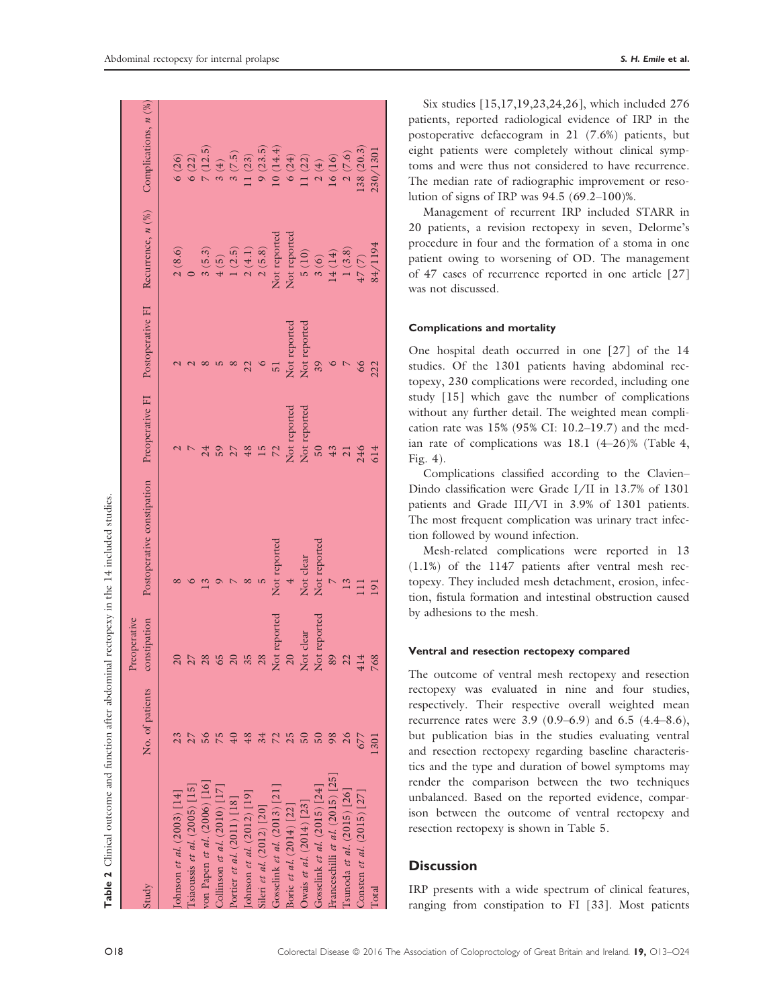| Table 2 Clinical outcome and function after abdominal rectopexy in the 14 included studies. |             |                                                                                          |  |
|---------------------------------------------------------------------------------------------|-------------|------------------------------------------------------------------------------------------|--|
| study                                                                                       | reoperative | No. of patients constipation Postoperative constipation Preoperative FI Postoperative FI |  |
|                                                                                             |             |                                                                                          |  |
| [ohnson et al. $(2003)$ [14]                                                                |             |                                                                                          |  |
| $T_{cip, \text{onice}}$ of $\sigma I$ (2005) [15]                                           |             |                                                                                          |  |

| tudy                              | No. of patients | onstipation  | Postoperativ   | Preoperative FI | Postoperative FI | Recurrence, $n\binom{96}{}$                                   |                                                           |
|-----------------------------------|-----------------|--------------|----------------|-----------------|------------------|---------------------------------------------------------------|-----------------------------------------------------------|
|                                   |                 |              |                |                 |                  |                                                               |                                                           |
| ohnson et al. $(2003)$ [14]       |                 |              |                |                 |                  | 2(8.6)                                                        | 6(26)                                                     |
| siaoussis et al. $(2005)$ [15]    |                 |              |                |                 |                  |                                                               | 6(22)                                                     |
| von Papen et al. (2006) [16]      |                 |              |                |                 |                  | 3(5.3)                                                        | $7(12.5)$<br>$3(4)$                                       |
| Collinson et al. $(2010)$ [17]    |                 |              |                |                 |                  | 4(5)                                                          |                                                           |
| Portier et al. (2011) [18]        |                 |              |                |                 |                  |                                                               |                                                           |
| [ohnson et al. $(2012)$ [19]      |                 |              |                | 48              |                  | $1 (2.5)$<br>$2 (4.1)$<br>$2 (5.8)$                           | $3(7.5)$<br>11 $(23)$                                     |
| Sileri et al. $(2012)$ [20]       |                 | 28           |                | 15              |                  |                                                               |                                                           |
| Gosselink et al. $(2013)$ [21]    |                 | Not reported | Not reported   | 72              |                  | Not reported                                                  | $9(23.5)$ 10 $(14.4)$                                     |
| Borie et al. (2014) [22]          |                 |              | $\ddot{}$      | Not reported    | Not reported     | Not reported                                                  |                                                           |
| ) wais et al. $(2014)$ [23]       |                 | Not clear    | Not clear      | Not reported    | Not reported     | 5(10)                                                         | $\begin{array}{c} 6 (24) \\ 11 (22) \\ 2 (4) \end{array}$ |
| Gosselink et al. $(2015)$ [24]    |                 | Not reporte  | Not reported   | $50\,$          | 39               |                                                               |                                                           |
| ranceschilli et al. $(2015)$ [25] | 98              | 89           |                | 43              |                  | $\begin{array}{c} 3\ (6) \\ 14\ (14) \\ 1\ (3.8) \end{array}$ | $16(16)$                                                  |
| [sunoda et al. $(2015)$ [26]      |                 |              | 13             | $\overline{21}$ | $\triangleright$ |                                                               | 2(7.6)                                                    |
| Consten et al. (2015) [27]        | 677             | 414          |                | 246             | 66               |                                                               | .38(20.3)                                                 |
| Total                             | 1301            | 768          | $\overline{1}$ | 514             | 222              | $47(7)$<br>$84/1194$                                          | 20/130                                                    |
|                                   |                 |              |                |                 |                  |                                                               |                                                           |

Six studies [15,17,19,23,24,26], which included 276 patients, reported radiological evidence of IRP in the postoperative defaecogram in 21 (7.6%) patients, but eight patients were completely without clinical symptoms and were thus not considered to have recurrence. The median rate of radiographic improvement or resolution of signs of IRP was 94.5 (69.2–100)%.

Management of recurrent IRP included STARR in 20 patients, a revision rectopexy in seven, Delorme's procedure in four and the formation of a stoma in one patient owing to worsening of OD. The management of 47 cases of recurrence reported in one article [27] was not discussed.

### Complications and mortality

One hospital death occurred in one [27] of the 14 studies. Of the 1301 patients having abdominal rectopexy, 230 complications were recorded, including one study [15] which gave the number of complications without any further detail. The weighted mean complication rate was 15% (95% CI: 10.2–19.7) and the median rate of complications was 18.1 (4–26)% (Table 4, Fig. 4).

Complications classified according to the Clavien– Dindo classification were Grade I/II in 13.7% of 1301 patients and Grade III/VI in 3.9% of 1301 patients. The most frequent complication was urinary tract infection followed by wound infection.

Mesh-related complications were reported in 13 (1.1%) of the 1147 patients after ventral mesh rectopexy. They included mesh detachment, erosion, infection, fistula formation and intestinal obstruction caused by adhesions to the mesh.

### Ventral and resection rectopexy compared

The outcome of ventral mesh rectopexy and resection rectopexy was evaluated in nine and four studies, respectively. Their respective overall weighted mean recurrence rates were 3.9 (0.9–6.9) and 6.5 (4.4–8.6), but publication bias in the studies evaluating ventral and resection rectopexy regarding baseline characteristics and the type and duration of bowel symptoms may render the comparison between the two techniques unbalanced. Based on the reported evidence, comparison between the outcome of ventral rectopexy and resection rectopexy is shown in Table 5.

# **Discussion**

IRP presents with a wide spectrum of clinical features, ranging from constipation to FI [33]. Most patients

Table 2 Clinical outcome and function after abdominal rectopexy in the 14 included studies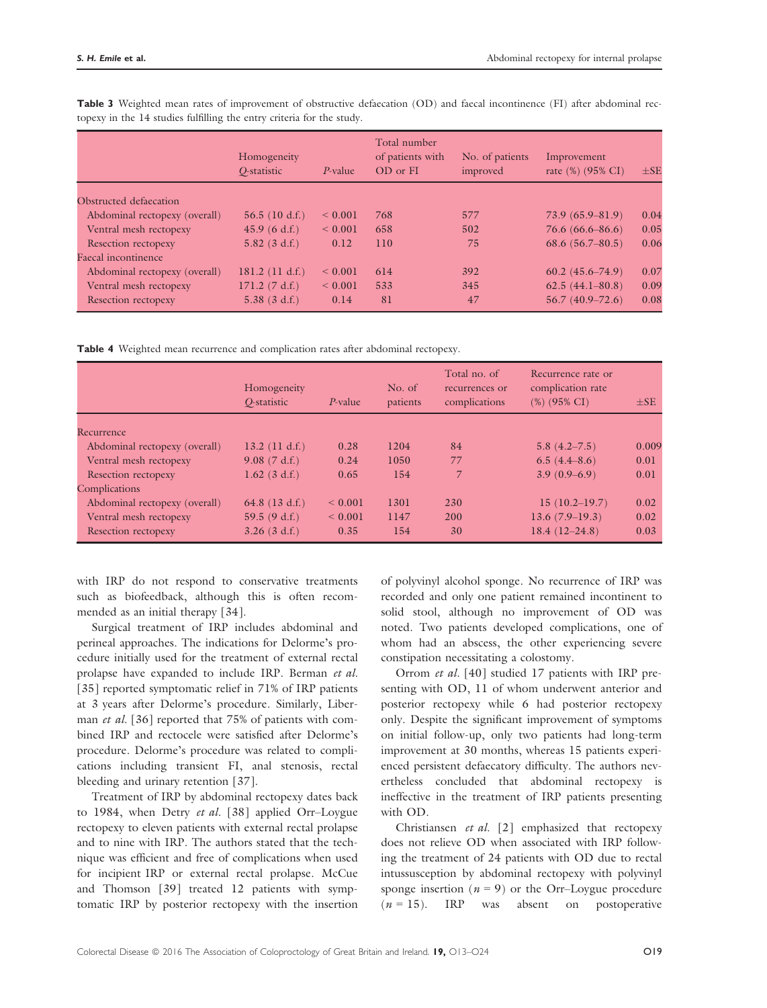|                               | Homogeneity<br>O-statistic | $P$ -value   | Total number<br>of patients with<br>OD or FI | No. of patients<br>improved | Improvement<br>rate (%) (95% CI) | $\pm$ SE |
|-------------------------------|----------------------------|--------------|----------------------------------------------|-----------------------------|----------------------------------|----------|
| Obstructed defaecation        |                            |              |                                              |                             |                                  |          |
| Abdominal rectopexy (overall) | 56.5(10 d.f.)              | ${}_{0.001}$ | 768                                          | 577                         | $73.9(65.9 - 81.9)$              | 0.04     |
| Ventral mesh rectopexy        | 45.9(6 d.f.)               | ${}_{0.001}$ | 658                                          | 502                         | $76.6(66.6 - 86.6)$              | 0.05     |
| <b>Resection rectopexy</b>    | $5.82$ (3 d.f.)            | 0.12         | 110                                          | 75                          | 68.6 $(56.7 - 80.5)$             | 0.06     |
| Faecal incontinence           |                            |              |                                              |                             |                                  |          |
| Abdominal rectopexy (overall) | 181.2 $(11 d.f.)$          | ${}_{0.001}$ | 614                                          | 392                         | $60.2(45.6 - 74.9)$              | 0.07     |
| Ventral mesh rectopexy        | 171.2 (7 d.f.)             | ${}< 0.001$  | 533                                          | 345                         | $62.5(44.1 - 80.8)$              | 0.09     |
| Resection rectopexy           | 5.38(3 d.f.)               | 0.14         | 81                                           | 47                          | $56.7(40.9 - 72.6)$              | 0.08     |

Table 3 Weighted mean rates of improvement of obstructive defaecation (OD) and faecal incontinence (FI) after abdominal rectopexy in the 14 studies fulfilling the entry criteria for the study.

Table 4 Weighted mean recurrence and complication rates after abdominal rectopexy.

|                               | Homogeneity<br>O-statistic | $P$ -value   | No. of<br>patients | Total no. of<br>recurrences or<br>complications | Recurrence rate or<br>complication rate<br>$(\%)$ (95% CI) | $\pm$ SE |
|-------------------------------|----------------------------|--------------|--------------------|-------------------------------------------------|------------------------------------------------------------|----------|
| Recurrence                    |                            |              |                    |                                                 |                                                            |          |
| Abdominal rectopexy (overall) | 13.2 (11 d.f.)             | 0.28         | 1204               | 84                                              | $5.8(4.2 - 7.5)$                                           | 0.009    |
| Ventral mesh rectopexy        | 9.08(7 d.f.)               | 0.24         | 1050               | 77                                              | 6.5(4.4–8.6)                                               | 0.01     |
| Resection rectopexy           | $1.62$ (3 d.f.)            | 0.65         | 154                | 7                                               | $3.9(0.9-6.9)$                                             | 0.01     |
| Complications                 |                            |              |                    |                                                 |                                                            |          |
| Abdominal rectopexy (overall) | 64.8 $(13 d.f.)$           | ${}_{0.001}$ | 1301               | 230                                             | 15(10.2–19.7)                                              | 0.02     |
| Ventral mesh rectopexy        | 59.5(9 d.f.)               | ${}< 0.001$  | 1147               | 200                                             | $13.6(7.9-19.3)$                                           | 0.02     |
| Resection rectopexy           | $3.26$ (3 d.f.)            | 0.35         | 154                | 30                                              | $18.4(12-24.8)$                                            | 0.03     |

with IRP do not respond to conservative treatments such as biofeedback, although this is often recommended as an initial therapy [34].

Surgical treatment of IRP includes abdominal and perineal approaches. The indications for Delorme's procedure initially used for the treatment of external rectal prolapse have expanded to include IRP. Berman et al. [35] reported symptomatic relief in 71% of IRP patients at 3 years after Delorme's procedure. Similarly, Liberman *et al.* [36] reported that 75% of patients with combined IRP and rectocele were satisfied after Delorme's procedure. Delorme's procedure was related to complications including transient FI, anal stenosis, rectal bleeding and urinary retention [37].

Treatment of IRP by abdominal rectopexy dates back to 1984, when Detry et al. [38] applied Orr-Loygue rectopexy to eleven patients with external rectal prolapse and to nine with IRP. The authors stated that the technique was efficient and free of complications when used for incipient IRP or external rectal prolapse. McCue and Thomson [39] treated 12 patients with symptomatic IRP by posterior rectopexy with the insertion of polyvinyl alcohol sponge. No recurrence of IRP was recorded and only one patient remained incontinent to solid stool, although no improvement of OD was noted. Two patients developed complications, one of whom had an abscess, the other experiencing severe constipation necessitating a colostomy.

Orrom et al. [40] studied 17 patients with IRP presenting with OD, 11 of whom underwent anterior and posterior rectopexy while 6 had posterior rectopexy only. Despite the significant improvement of symptoms on initial follow-up, only two patients had long-term improvement at 30 months, whereas 15 patients experienced persistent defaecatory difficulty. The authors nevertheless concluded that abdominal rectopexy is ineffective in the treatment of IRP patients presenting with OD.

Christiansen et al. [2] emphasized that rectopexy does not relieve OD when associated with IRP following the treatment of 24 patients with OD due to rectal intussusception by abdominal rectopexy with polyvinyl sponge insertion ( $n = 9$ ) or the Orr–Loygue procedure  $(n = 15)$ . IRP was absent on postoperative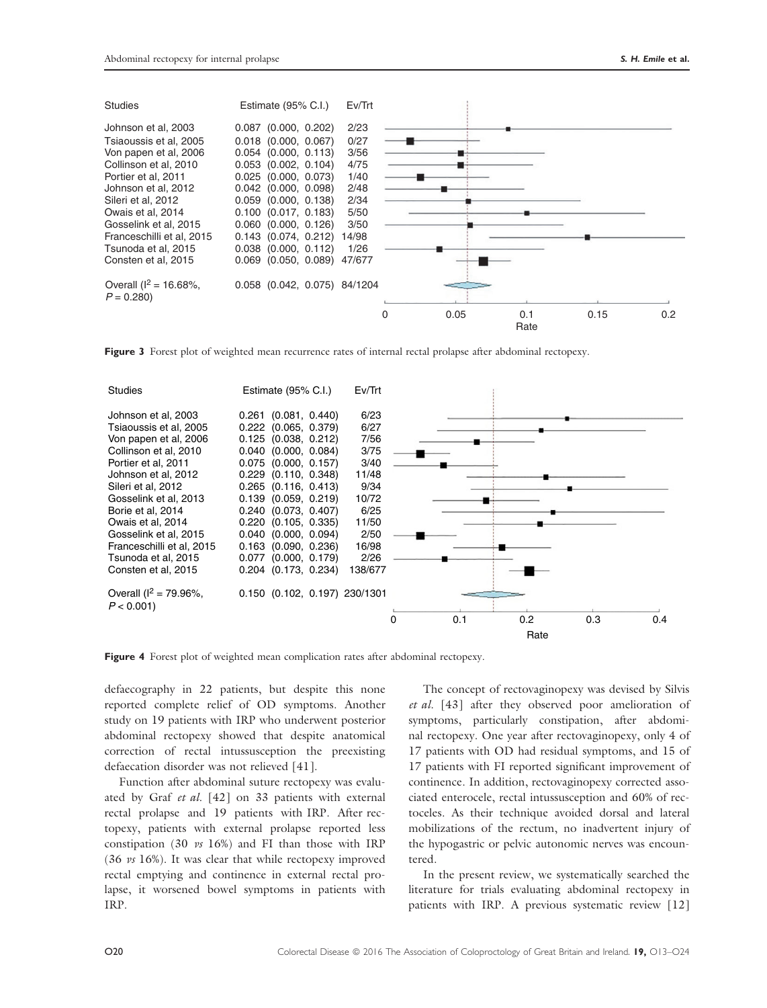| <b>Studies</b>              | Estimate $(95\% \text{ C}$ .I.) | Ev/Trt |          |      |             |      |     |
|-----------------------------|---------------------------------|--------|----------|------|-------------|------|-----|
| Johnson et al, 2003         | $0.087$ (0.000, 0.202)          | 2/23   |          |      |             |      |     |
| Tsiaoussis et al. 2005      | $0.018$ (0.000, 0.067)          | 0/27   |          |      |             |      |     |
| Von papen et al, 2006       | $0.054$ (0.000, 0.113)          | 3/56   |          |      |             |      |     |
| Collinson et al, 2010       | $0.053$ $(0.002, 0.104)$        | 4/75   |          |      |             |      |     |
| Portier et al. 2011         | $0.025$ (0.000, 0.073)          | 1/40   |          |      |             |      |     |
| Johnson et al, 2012         | $0.042$ (0.000, 0.098)          | 2/48   |          |      |             |      |     |
| Sileri et al, 2012          | $0.059$ $(0.000, 0.138)$        | 2/34   |          |      |             |      |     |
| Owais et al. 2014           | $0.100$ $(0.017, 0.183)$        | 5/50   |          |      |             |      |     |
| Gosselink et al, 2015       | $0.060$ $(0.000, 0.126)$        | 3/50   |          |      |             |      |     |
| Franceschilli et al, 2015   | $0.143$ $(0.074, 0.212)$        | 14/98  |          |      |             |      |     |
| Tsunoda et al. 2015         | $0.038$ $(0.000, 0.112)$        | 1/26   |          |      |             |      |     |
| Consten et al, 2015         | $0.069$ $(0.050, 0.089)$        | 47/677 |          |      |             |      |     |
| Overall ( $I^2 = 16.68\%$ , | 0.058 (0.042, 0.075) 84/1204    |        |          |      |             |      |     |
| $P = 0.280$                 |                                 |        |          |      |             |      |     |
|                             |                                 |        | $\Omega$ | 0.05 | 0.1<br>Rate | 0.15 | 0.2 |

Figure 3 Forest plot of weighted mean recurrence rates of internal rectal prolapse after abdominal rectopexy.



Figure 4 Forest plot of weighted mean complication rates after abdominal rectopexy.

defaecography in 22 patients, but despite this none reported complete relief of OD symptoms. Another study on 19 patients with IRP who underwent posterior abdominal rectopexy showed that despite anatomical correction of rectal intussusception the preexisting defaecation disorder was not relieved [41].

Function after abdominal suture rectopexy was evaluated by Graf et al. [42] on 33 patients with external rectal prolapse and 19 patients with IRP. After rectopexy, patients with external prolapse reported less constipation (30 vs 16%) and FI than those with IRP (36 vs 16%). It was clear that while rectopexy improved rectal emptying and continence in external rectal prolapse, it worsened bowel symptoms in patients with IRP.

The concept of rectovaginopexy was devised by Silvis et al. [43] after they observed poor amelioration of symptoms, particularly constipation, after abdominal rectopexy. One year after rectovaginopexy, only 4 of 17 patients with OD had residual symptoms, and 15 of 17 patients with FI reported significant improvement of continence. In addition, rectovaginopexy corrected associated enterocele, rectal intussusception and 60% of rectoceles. As their technique avoided dorsal and lateral mobilizations of the rectum, no inadvertent injury of the hypogastric or pelvic autonomic nerves was encountered.

In the present review, we systematically searched the literature for trials evaluating abdominal rectopexy in patients with IRP. A previous systematic review [12]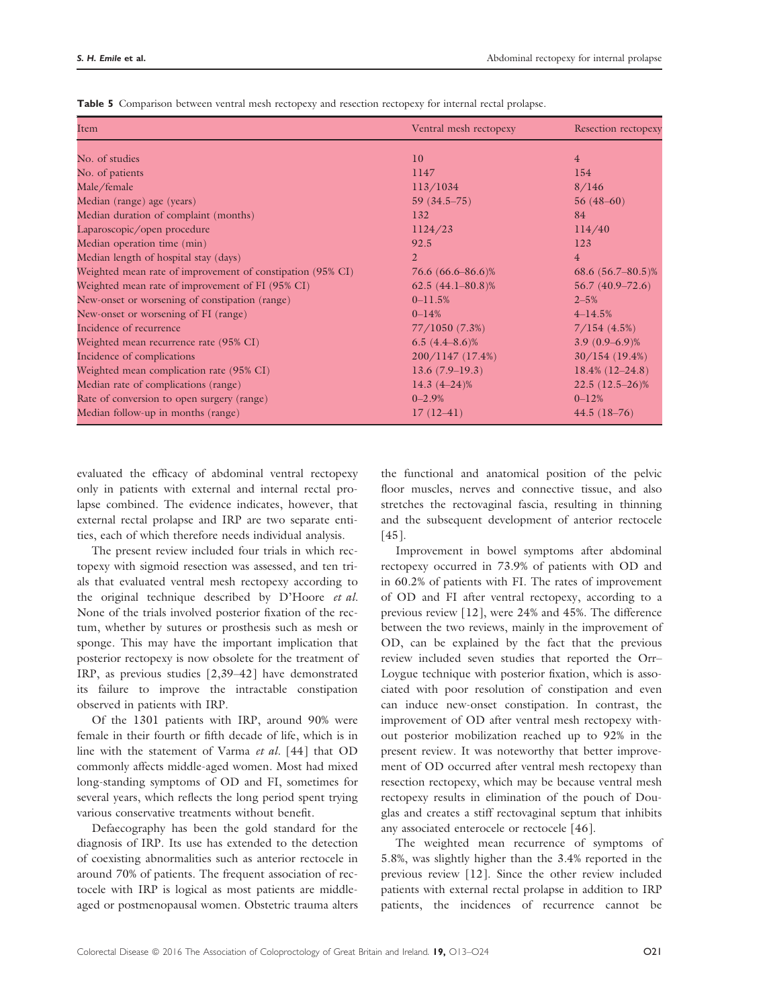| Item                                                       | Ventral mesh rectopexy | <b>Resection rectopexy</b> |
|------------------------------------------------------------|------------------------|----------------------------|
| No. of studies                                             | 10                     | $\overline{4}$             |
| No. of patients                                            | 1147                   | 154                        |
| Male/female                                                | 113/1034               | 8/146                      |
| Median (range) age (years)                                 | $59(34.5-75)$          | $56(48-60)$                |
| Median duration of complaint (months)                      | 132                    | 84                         |
| Laparoscopic/open procedure                                | 1124/23                | 114/40                     |
| Median operation time (min)                                | 92.5                   | 123                        |
| Median length of hospital stay (days)                      | $\overline{2}$         | $\overline{4}$             |
| Weighted mean rate of improvement of constipation (95% CI) | 76.6 (66.6–86.6)%      | 68.6 $(56.7 - 80.5)\%$     |
| Weighted mean rate of improvement of FI (95% CI)           | $62.5(44.1 - 80.8)\%$  | $56.7(40.9 - 72.6)$        |
| New-onset or worsening of constipation (range)             | $0 - 11.5%$            | $2 - 5%$                   |
| New-onset or worsening of FI (range)                       | $0 - 14%$              | $4 - 14.5%$                |
| Incidence of recurrence                                    | 77/1050 (7.3%)         | 7/154(4.5%)                |
| Weighted mean recurrence rate (95% CI)                     | 6.5 $(4.4 - 8.6)\%$    | $3.9(0.9-6.9)\%$           |
| Incidence of complications                                 | 200/1147(17.4%)        | 30/154(19.4%)              |
| Weighted mean complication rate (95% CI)                   | $13.6(7.9-19.3)$       | $18.4\%$ (12-24.8)         |
| Median rate of complications (range)                       | $14.3(4 - 24)\%$       | $22.5(12.5-26)\%$          |
| Rate of conversion to open surgery (range)                 | $0 - 2.9%$             | $0 - 12%$                  |
| Median follow-up in months (range)                         | $17(12-41)$            | $44.5(18-76)$              |

Table 5 Comparison between ventral mesh rectopexy and resection rectopexy for internal rectal prolapse.

evaluated the efficacy of abdominal ventral rectopexy only in patients with external and internal rectal prolapse combined. The evidence indicates, however, that external rectal prolapse and IRP are two separate entities, each of which therefore needs individual analysis.

The present review included four trials in which rectopexy with sigmoid resection was assessed, and ten trials that evaluated ventral mesh rectopexy according to the original technique described by D'Hoore et al. None of the trials involved posterior fixation of the rectum, whether by sutures or prosthesis such as mesh or sponge. This may have the important implication that posterior rectopexy is now obsolete for the treatment of IRP, as previous studies [2,39–42] have demonstrated its failure to improve the intractable constipation observed in patients with IRP.

Of the 1301 patients with IRP, around 90% were female in their fourth or fifth decade of life, which is in line with the statement of Varma et al. [44] that OD commonly affects middle-aged women. Most had mixed long-standing symptoms of OD and FI, sometimes for several years, which reflects the long period spent trying various conservative treatments without benefit.

Defaecography has been the gold standard for the diagnosis of IRP. Its use has extended to the detection of coexisting abnormalities such as anterior rectocele in around 70% of patients. The frequent association of rectocele with IRP is logical as most patients are middleaged or postmenopausal women. Obstetric trauma alters the functional and anatomical position of the pelvic floor muscles, nerves and connective tissue, and also stretches the rectovaginal fascia, resulting in thinning and the subsequent development of anterior rectocele [45].

Improvement in bowel symptoms after abdominal rectopexy occurred in 73.9% of patients with OD and in 60.2% of patients with FI. The rates of improvement of OD and FI after ventral rectopexy, according to a previous review [12], were 24% and 45%. The difference between the two reviews, mainly in the improvement of OD, can be explained by the fact that the previous review included seven studies that reported the Orr– Loygue technique with posterior fixation, which is associated with poor resolution of constipation and even can induce new-onset constipation. In contrast, the improvement of OD after ventral mesh rectopexy without posterior mobilization reached up to 92% in the present review. It was noteworthy that better improvement of OD occurred after ventral mesh rectopexy than resection rectopexy, which may be because ventral mesh rectopexy results in elimination of the pouch of Douglas and creates a stiff rectovaginal septum that inhibits any associated enterocele or rectocele [46].

The weighted mean recurrence of symptoms of 5.8%, was slightly higher than the 3.4% reported in the previous review [12]. Since the other review included patients with external rectal prolapse in addition to IRP patients, the incidences of recurrence cannot be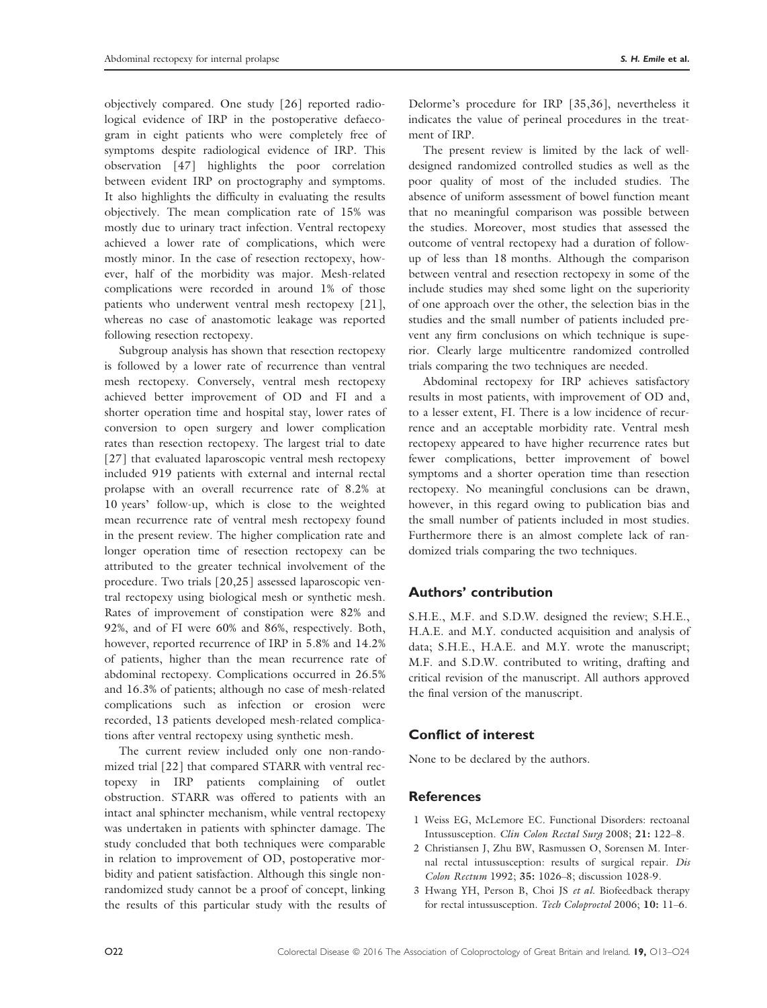objectively compared. One study [26] reported radiological evidence of IRP in the postoperative defaecogram in eight patients who were completely free of symptoms despite radiological evidence of IRP. This observation [47] highlights the poor correlation between evident IRP on proctography and symptoms. It also highlights the difficulty in evaluating the results objectively. The mean complication rate of 15% was mostly due to urinary tract infection. Ventral rectopexy achieved a lower rate of complications, which were mostly minor. In the case of resection rectopexy, however, half of the morbidity was major. Mesh-related complications were recorded in around 1% of those patients who underwent ventral mesh rectopexy [21], whereas no case of anastomotic leakage was reported following resection rectopexy.

Subgroup analysis has shown that resection rectopexy is followed by a lower rate of recurrence than ventral mesh rectopexy. Conversely, ventral mesh rectopexy achieved better improvement of OD and FI and a shorter operation time and hospital stay, lower rates of conversion to open surgery and lower complication rates than resection rectopexy. The largest trial to date [27] that evaluated laparoscopic ventral mesh rectopexy included 919 patients with external and internal rectal prolapse with an overall recurrence rate of 8.2% at 10 years' follow-up, which is close to the weighted mean recurrence rate of ventral mesh rectopexy found in the present review. The higher complication rate and longer operation time of resection rectopexy can be attributed to the greater technical involvement of the procedure. Two trials [20,25] assessed laparoscopic ventral rectopexy using biological mesh or synthetic mesh. Rates of improvement of constipation were 82% and 92%, and of FI were 60% and 86%, respectively. Both, however, reported recurrence of IRP in 5.8% and 14.2% of patients, higher than the mean recurrence rate of abdominal rectopexy. Complications occurred in 26.5% and 16.3% of patients; although no case of mesh-related complications such as infection or erosion were recorded, 13 patients developed mesh-related complications after ventral rectopexy using synthetic mesh.

The current review included only one non-randomized trial [22] that compared STARR with ventral rectopexy in IRP patients complaining of outlet obstruction. STARR was offered to patients with an intact anal sphincter mechanism, while ventral rectopexy was undertaken in patients with sphincter damage. The study concluded that both techniques were comparable in relation to improvement of OD, postoperative morbidity and patient satisfaction. Although this single nonrandomized study cannot be a proof of concept, linking the results of this particular study with the results of Delorme's procedure for IRP [35,36], nevertheless it indicates the value of perineal procedures in the treatment of IRP.

The present review is limited by the lack of welldesigned randomized controlled studies as well as the poor quality of most of the included studies. The absence of uniform assessment of bowel function meant that no meaningful comparison was possible between the studies. Moreover, most studies that assessed the outcome of ventral rectopexy had a duration of followup of less than 18 months. Although the comparison between ventral and resection rectopexy in some of the include studies may shed some light on the superiority of one approach over the other, the selection bias in the studies and the small number of patients included prevent any firm conclusions on which technique is superior. Clearly large multicentre randomized controlled trials comparing the two techniques are needed.

Abdominal rectopexy for IRP achieves satisfactory results in most patients, with improvement of OD and, to a lesser extent, FI. There is a low incidence of recurrence and an acceptable morbidity rate. Ventral mesh rectopexy appeared to have higher recurrence rates but fewer complications, better improvement of bowel symptoms and a shorter operation time than resection rectopexy. No meaningful conclusions can be drawn, however, in this regard owing to publication bias and the small number of patients included in most studies. Furthermore there is an almost complete lack of randomized trials comparing the two techniques.

# Authors' contribution

S.H.E., M.F. and S.D.W. designed the review; S.H.E., H.A.E. and M.Y. conducted acquisition and analysis of data; S.H.E., H.A.E. and M.Y. wrote the manuscript; M.F. and S.D.W. contributed to writing, drafting and critical revision of the manuscript. All authors approved the final version of the manuscript.

# Conflict of interest

None to be declared by the authors.

# **References**

- 1 Weiss EG, McLemore EC. Functional Disorders: rectoanal Intussusception. Clin Colon Rectal Surg 2008; 21: 122–8.
- 2 Christiansen J, Zhu BW, Rasmussen O, Sorensen M. Internal rectal intussusception: results of surgical repair. Dis Colon Rectum 1992; 35: 1026–8; discussion 1028-9.
- 3 Hwang YH, Person B, Choi JS et al. Biofeedback therapy for rectal intussusception. Tech Coloproctol 2006; 10: 11–6.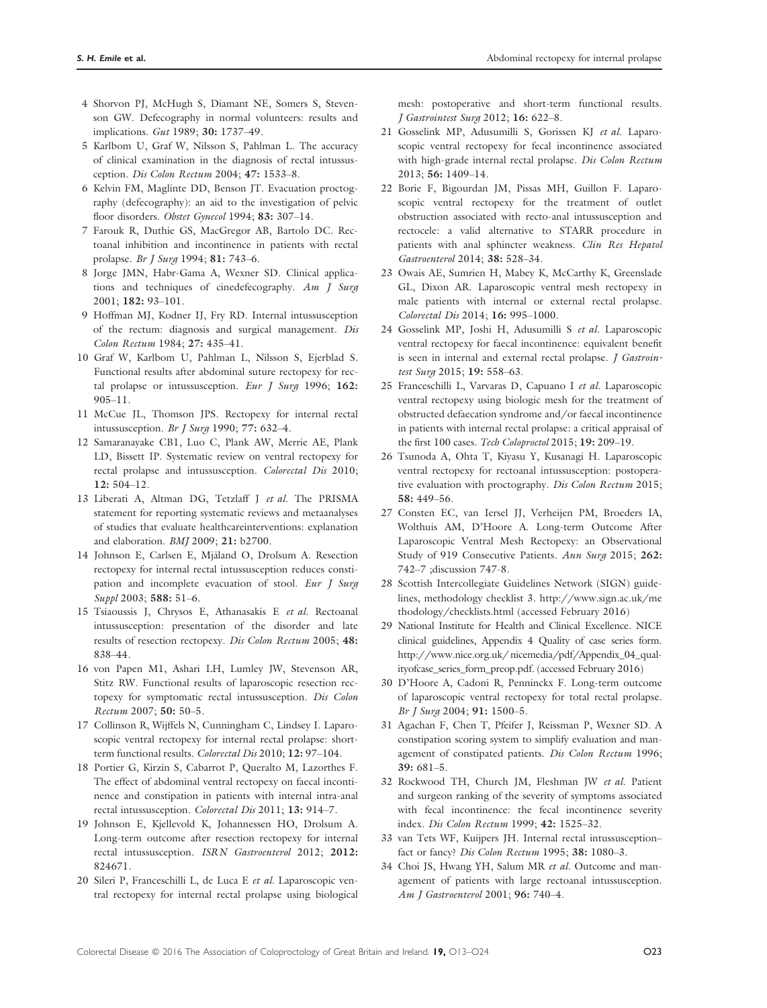- 4 Shorvon PJ, McHugh S, Diamant NE, Somers S, Stevenson GW. Defecography in normal volunteers: results and implications. Gut 1989; 30: 1737–49.
- 5 Karlbom U, Graf W, Nilsson S, Pahlman L. The accuracy of clinical examination in the diagnosis of rectal intussusception. Dis Colon Rectum 2004; 47: 1533-8.
- 6 Kelvin FM, Maglinte DD, Benson JT. Evacuation proctography (defecography): an aid to the investigation of pelvic floor disorders. Obstet Gynecol 1994; 83: 307-14.
- 7 Farouk R, Duthie GS, MacGregor AB, Bartolo DC. Rectoanal inhibition and incontinence in patients with rectal prolapse. Br J Surg 1994; 81: 743–6.
- 8 Jorge JMN, Habr-Gama A, Wexner SD. Clinical applications and techniques of cinedefecography. Am J Surg 2001; 182: 93–101.
- 9 Hoffman MJ, Kodner IJ, Fry RD. Internal intussusception of the rectum: diagnosis and surgical management. Dis Colon Rectum 1984; 27: 435–41.
- 10 Graf W, Karlbom U, Pahlman L, Nilsson S, Ejerblad S. Functional results after abdominal suture rectopexy for rectal prolapse or intussusception. Eur  $\int$  Surg 1996; 162: 905–11.
- 11 McCue JL, Thomson JPS. Rectopexy for internal rectal intussusception. Br J Surg 1990; 77: 632–4.
- 12 Samaranayake CB1, Luo C, Plank AW, Merrie AE, Plank LD, Bissett IP. Systematic review on ventral rectopexy for rectal prolapse and intussusception. Colorectal Dis 2010; 12: 504–12.
- 13 Liberati A, Altman DG, Tetzlaff J et al. The PRISMA statement for reporting systematic reviews and metaanalyses of studies that evaluate healthcareinterventions: explanation and elaboration. BMJ 2009; 21: b2700.
- 14 Johnson E, Carlsen E, Mjaland O, Drolsum A. Resection rectopexy for internal rectal intussusception reduces constipation and incomplete evacuation of stool. Eur J Surg Suppl 2003; 588: 51–6.
- 15 Tsiaoussis J, Chrysos E, Athanasakis E et al. Rectoanal intussusception: presentation of the disorder and late results of resection rectopexy. Dis Colon Rectum 2005; 48: 838–44.
- 16 von Papen M1, Ashari LH, Lumley JW, Stevenson AR, Stitz RW. Functional results of laparoscopic resection rectopexy for symptomatic rectal intussusception. Dis Colon Rectum 2007; 50: 50–5.
- 17 Collinson R, Wijffels N, Cunningham C, Lindsey I. Laparoscopic ventral rectopexy for internal rectal prolapse: shortterm functional results. Colorectal Dis 2010; 12: 97–104.
- 18 Portier G, Kirzin S, Cabarrot P, Queralto M, Lazorthes F. The effect of abdominal ventral rectopexy on faecal incontinence and constipation in patients with internal intra-anal rectal intussusception. Colorectal Dis 2011; 13: 914–7.
- 19 Johnson E, Kjellevold K, Johannessen HO, Drolsum A. Long-term outcome after resection rectopexy for internal rectal intussusception. ISRN Gastroenterol 2012; 2012: 824671.
- 20 Sileri P, Franceschilli L, de Luca E et al. Laparoscopic ventral rectopexy for internal rectal prolapse using biological

mesh: postoperative and short-term functional results. J Gastrointest Surg 2012; 16: 622–8.

- 21 Gosselink MP, Adusumilli S, Gorissen KJ et al. Laparoscopic ventral rectopexy for fecal incontinence associated with high-grade internal rectal prolapse. Dis Colon Rectum 2013; 56: 1409–14.
- 22 Borie F, Bigourdan JM, Pissas MH, Guillon F. Laparoscopic ventral rectopexy for the treatment of outlet obstruction associated with recto-anal intussusception and rectocele: a valid alternative to STARR procedure in patients with anal sphincter weakness. Clin Res Hepatol Gastroenterol 2014; 38: 528–34.
- 23 Owais AE, Sumrien H, Mabey K, McCarthy K, Greenslade GL, Dixon AR. Laparoscopic ventral mesh rectopexy in male patients with internal or external rectal prolapse. Colorectal Dis 2014; 16: 995–1000.
- 24 Gosselink MP, Joshi H, Adusumilli S et al. Laparoscopic ventral rectopexy for faecal incontinence: equivalent benefit is seen in internal and external rectal prolapse. *J Gastroin*test Surg 2015; 19: 558-63.
- 25 Franceschilli L, Varvaras D, Capuano I et al. Laparoscopic ventral rectopexy using biologic mesh for the treatment of obstructed defaecation syndrome and/or faecal incontinence in patients with internal rectal prolapse: a critical appraisal of the first 100 cases. Tech Coloproctol 2015; 19: 209-19.
- 26 Tsunoda A, Ohta T, Kiyasu Y, Kusanagi H. Laparoscopic ventral rectopexy for rectoanal intussusception: postoperative evaluation with proctography. Dis Colon Rectum 2015; 58: 449–56.
- 27 Consten EC, van Iersel JJ, Verheijen PM, Broeders IA, Wolthuis AM, D'Hoore A. Long-term Outcome After Laparoscopic Ventral Mesh Rectopexy: an Observational Study of 919 Consecutive Patients. Ann Surg 2015; 262: 742–7 ;discussion 747-8.
- 28 Scottish Intercollegiate Guidelines Network (SIGN) guidelines, methodology checklist 3. [http://www.sign.ac.uk/me](http://www.sign.ac.uk/methodology/checklists.html) [thodology/checklists.html](http://www.sign.ac.uk/methodology/checklists.html) (accessed February 2016)
- 29 National Institute for Health and Clinical Excellence. NICE clinical guidelines, Appendix 4 Quality of case series form. <http://www.nice.org.uk/> nicemedia/pdf/Appendix\_04\_qualityofcase\_series\_form\_preop.pdf. (accessed February 2016)
- 30 D'Hoore A, Cadoni R, Penninckx F. Long-term outcome of laparoscopic ventral rectopexy for total rectal prolapse. Br J Surg 2004; 91: 1500–5.
- 31 Agachan F, Chen T, Pfeifer J, Reissman P, Wexner SD. A constipation scoring system to simplify evaluation and management of constipated patients. Dis Colon Rectum 1996;  $39.681 - 5$
- 32 Rockwood TH, Church JM, Fleshman JW et al. Patient and surgeon ranking of the severity of symptoms associated with fecal incontinence: the fecal incontinence severity index. Dis Colon Rectum 1999; 42: 1525–32.
- 33 van Tets WF, Kuijpers JH. Internal rectal intussusception– fact or fancy? Dis Colon Rectum 1995; 38: 1080–3.
- 34 Choi JS, Hwang YH, Salum MR et al. Outcome and management of patients with large rectoanal intussusception. Am *J* Gastroenterol 2001; 96: 740-4.